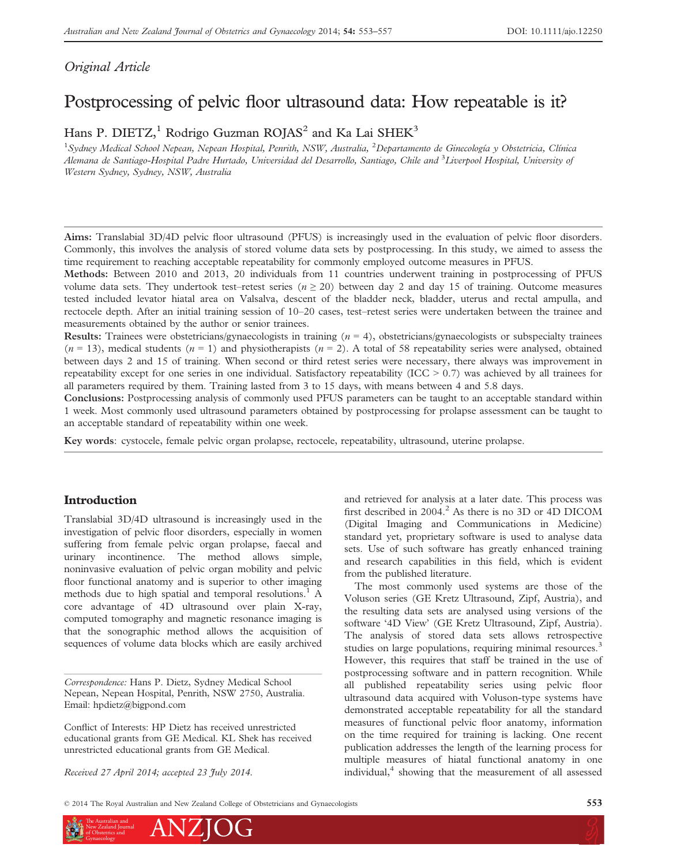# Original Article

# Postprocessing of pelvic floor ultrasound data: How repeatable is it?

Hans P. DIETZ,<sup>1</sup> Rodrigo Guzman ROJAS<sup>2</sup> and Ka Lai SHEK<sup>3</sup>

<sup>1</sup> Sydney Medical School Nepean, Nepean Hospital, Penrith, NSW, Australia, <sup>2</sup> Departamento de Ginecología y Obstetricia, Clínica Alemana de Santiago-Hospital Padre Hurtado, Universidad del Desarrollo, Santiago, Chile and <sup>3</sup>Liverpool Hospital, University oj Western Sydney, Sydney, NSW, Australia

Aims: Translabial 3D/4D pelvic floor ultrasound (PFUS) is increasingly used in the evaluation of pelvic floor disorders. Commonly, this involves the analysis of stored volume data sets by postprocessing. In this study, we aimed to assess the time requirement to reaching acceptable repeatability for commonly employed outcome measures in PFUS.

Methods: Between 2010 and 2013, 20 individuals from 11 countries underwent training in postprocessing of PFUS volume data sets. They undertook test–retest series ( $n \ge 20$ ) between day 2 and day 15 of training. Outcome measures tested included levator hiatal area on Valsalva, descent of the bladder neck, bladder, uterus and rectal ampulla, and rectocele depth. After an initial training session of 10–20 cases, test–retest series were undertaken between the trainee and measurements obtained by the author or senior trainees.

**Results:** Trainees were obstetricians/gynaecologists in training  $(n = 4)$ , obstetricians/gynaecologists or subspecialty trainees  $(n = 13)$ , medical students  $(n = 1)$  and physiotherapists  $(n = 2)$ . A total of 58 repeatability series were analysed, obtained between days 2 and 15 of training. When second or third retest series were necessary, there always was improvement in repeatability except for one series in one individual. Satisfactory repeatability (ICC > 0.7) was achieved by all trainees for all parameters required by them. Training lasted from 3 to 15 days, with means between 4 and 5.8 days.

Conclusions: Postprocessing analysis of commonly used PFUS parameters can be taught to an acceptable standard within 1 week. Most commonly used ultrasound parameters obtained by postprocessing for prolapse assessment can be taught to an acceptable standard of repeatability within one week.

Key words: cystocele, female pelvic organ prolapse, rectocele, repeatability, ultrasound, uterine prolapse.

# Introduction

Translabial 3D/4D ultrasound is increasingly used in the investigation of pelvic floor disorders, especially in women suffering from female pelvic organ prolapse, faecal and urinary incontinence. The method allows simple, noninvasive evaluation of pelvic organ mobility and pelvic floor functional anatomy and is superior to other imaging methods due to high spatial and temporal resolutions.<sup>1</sup> A core advantage of 4D ultrasound over plain X-ray, computed tomography and magnetic resonance imaging is that the sonographic method allows the acquisition of sequences of volume data blocks which are easily archived

Correspondence: Hans P. Dietz, Sydney Medical School Nepean, Nepean Hospital, Penrith, NSW 2750, Australia. Email: hpdietz@bigpond.com

Conflict of Interests: HP Dietz has received unrestricted educational grants from GE Medical. KL Shek has received unrestricted educational grants from GE Medical.

Received 27 April 2014; accepted 23 July 2014.

and retrieved for analysis at a later date. This process was first described in  $2004<sup>2</sup>$  As there is no 3D or 4D DICOM (Digital Imaging and Communications in Medicine) standard yet, proprietary software is used to analyse data sets. Use of such software has greatly enhanced training and research capabilities in this field, which is evident from the published literature.

The most commonly used systems are those of the Voluson series (GE Kretz Ultrasound, Zipf, Austria), and the resulting data sets are analysed using versions of the software '4D View' (GE Kretz Ultrasound, Zipf, Austria). The analysis of stored data sets allows retrospective studies on large populations, requiring minimal resources.<sup>3</sup> However, this requires that staff be trained in the use of postprocessing software and in pattern recognition. While all published repeatability series using pelvic floor ultrasound data acquired with Voluson-type systems have demonstrated acceptable repeatability for all the standard measures of functional pelvic floor anatomy, information on the time required for training is lacking. One recent publication addresses the length of the learning process for multiple measures of hiatal functional anatomy in one individual,<sup>4</sup> showing that the measurement of all assessed

© 2014 The Royal Australian and New Zealand College of Obstetricians and Gynaecologists 553

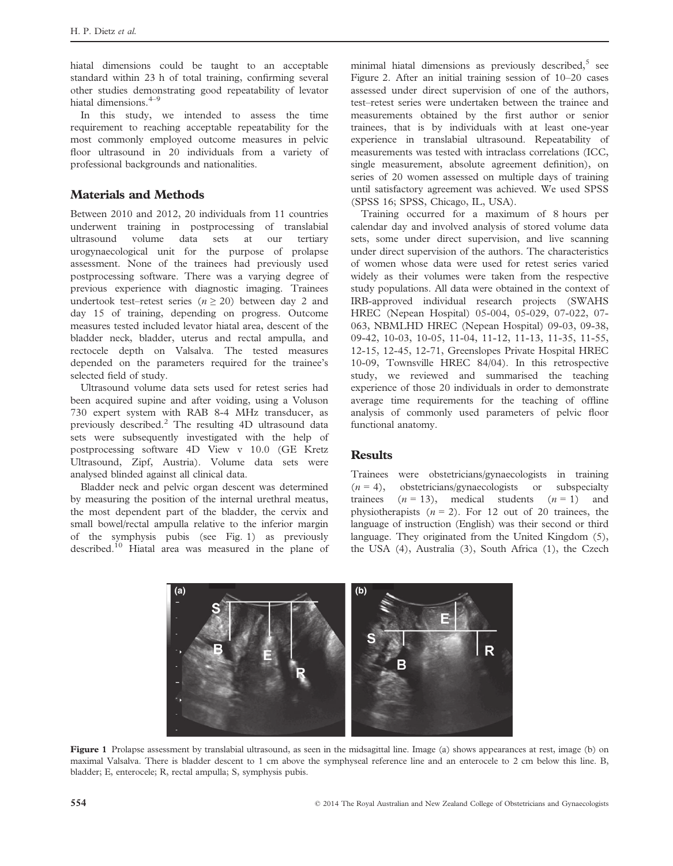hiatal dimensions could be taught to an acceptable standard within 23 h of total training, confirming several other studies demonstrating good repeatability of levator hiatal dimensions.<sup>4-9</sup>

In this study, we intended to assess the time requirement to reaching acceptable repeatability for the most commonly employed outcome measures in pelvic floor ultrasound in 20 individuals from a variety of professional backgrounds and nationalities.

# Materials and Methods

Between 2010 and 2012, 20 individuals from 11 countries underwent training in postprocessing of translabial ultrasound volume data sets at our tertiary urogynaecological unit for the purpose of prolapse assessment. None of the trainees had previously used postprocessing software. There was a varying degree of previous experience with diagnostic imaging. Trainees undertook test–retest series ( $n \ge 20$ ) between day 2 and day 15 of training, depending on progress. Outcome measures tested included levator hiatal area, descent of the bladder neck, bladder, uterus and rectal ampulla, and rectocele depth on Valsalva. The tested measures depended on the parameters required for the trainee's selected field of study.

Ultrasound volume data sets used for retest series had been acquired supine and after voiding, using a Voluson 730 expert system with RAB 8-4 MHz transducer, as previously described.<sup>2</sup> The resulting  $4D$  ultrasound data sets were subsequently investigated with the help of postprocessing software 4D View v 10.0 (GE Kretz Ultrasound, Zipf, Austria). Volume data sets were analysed blinded against all clinical data.

Bladder neck and pelvic organ descent was determined by measuring the position of the internal urethral meatus, the most dependent part of the bladder, the cervix and small bowel/rectal ampulla relative to the inferior margin of the symphysis pubis (see Fig. 1) as previously described.<sup>10</sup> Hiatal area was measured in the plane of minimal hiatal dimensions as previously described, $5$  see Figure 2. After an initial training session of 10–20 cases assessed under direct supervision of one of the authors, test–retest series were undertaken between the trainee and measurements obtained by the first author or senior trainees, that is by individuals with at least one-year experience in translabial ultrasound. Repeatability of measurements was tested with intraclass correlations (ICC, single measurement, absolute agreement definition), on series of 20 women assessed on multiple days of training until satisfactory agreement was achieved. We used SPSS (SPSS 16; SPSS, Chicago, IL, USA).

Training occurred for a maximum of 8 hours per calendar day and involved analysis of stored volume data sets, some under direct supervision, and live scanning under direct supervision of the authors. The characteristics of women whose data were used for retest series varied widely as their volumes were taken from the respective study populations. All data were obtained in the context of IRB-approved individual research projects (SWAHS HREC (Nepean Hospital) 05-004, 05-029, 07-022, 07- 063, NBMLHD HREC (Nepean Hospital) 09-03, 09-38, 09-42, 10-03, 10-05, 11-04, 11-12, 11-13, 11-35, 11-55, 12-15, 12-45, 12-71, Greenslopes Private Hospital HREC 10-09, Townsville HREC 84/04). In this retrospective study, we reviewed and summarised the teaching experience of those 20 individuals in order to demonstrate average time requirements for the teaching of offline analysis of commonly used parameters of pelvic floor functional anatomy.

### **Results**

Trainees were obstetricians/gynaecologists in training  $(n = 4)$ , obstetricians/gynaecologists or subspecialty trainees  $(n = 13)$ , medical students  $(n = 1)$  and physiotherapists  $(n = 2)$ . For 12 out of 20 trainees, the language of instruction (English) was their second or third language. They originated from the United Kingdom (5), the USA (4), Australia (3), South Africa (1), the Czech



Figure 1 Prolapse assessment by translabial ultrasound, as seen in the midsagittal line. Image (a) shows appearances at rest, image (b) on maximal Valsalva. There is bladder descent to 1 cm above the symphyseal reference line and an enterocele to 2 cm below this line. B, bladder; E, enterocele; R, rectal ampulla; S, symphysis pubis.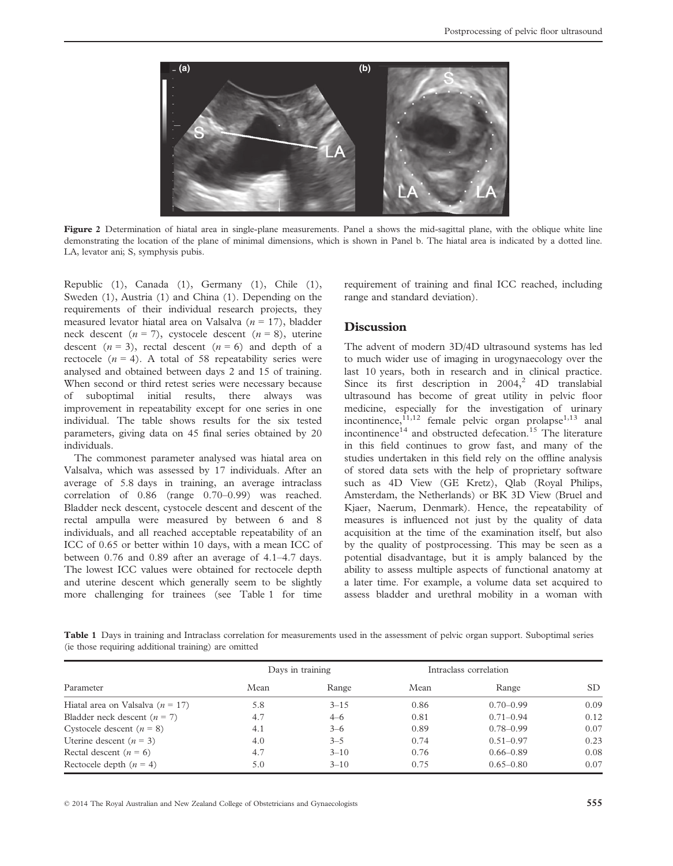

Figure 2 Determination of hiatal area in single-plane measurements. Panel a shows the mid-sagittal plane, with the oblique white line demonstrating the location of the plane of minimal dimensions, which is shown in Panel b. The hiatal area is indicated by a dotted line. LA, levator ani; S, symphysis pubis.

Republic (1), Canada (1), Germany (1), Chile (1), Sweden (1), Austria (1) and China (1). Depending on the requirements of their individual research projects, they measured levator hiatal area on Valsalva ( $n = 17$ ), bladder neck descent  $(n = 7)$ , cystocele descent  $(n = 8)$ , uterine descent  $(n = 3)$ , rectal descent  $(n = 6)$  and depth of a rectocele  $(n = 4)$ . A total of 58 repeatability series were analysed and obtained between days 2 and 15 of training. When second or third retest series were necessary because of suboptimal initial results, there always was improvement in repeatability except for one series in one individual. The table shows results for the six tested parameters, giving data on 45 final series obtained by 20 individuals.

The commonest parameter analysed was hiatal area on Valsalva, which was assessed by 17 individuals. After an average of 5.8 days in training, an average intraclass correlation of 0.86 (range 0.70–0.99) was reached. Bladder neck descent, cystocele descent and descent of the rectal ampulla were measured by between 6 and 8 individuals, and all reached acceptable repeatability of an ICC of 0.65 or better within 10 days, with a mean ICC of between 0.76 and 0.89 after an average of 4.1–4.7 days. The lowest ICC values were obtained for rectocele depth and uterine descent which generally seem to be slightly more challenging for trainees (see Table 1 for time requirement of training and final ICC reached, including range and standard deviation).

## **Discussion**

The advent of modern 3D/4D ultrasound systems has led to much wider use of imaging in urogynaecology over the last 10 years, both in research and in clinical practice. Since its first description in  $2004$ ,<sup>2</sup> 4D translabial ultrasound has become of great utility in pelvic floor medicine, especially for the investigation of urinary incontinence, $^{11,12}$  female pelvic organ prolapse<sup>1,13</sup> anal incontinence<sup>14</sup> and obstructed defecation.<sup>15</sup> The literature in this field continues to grow fast, and many of the studies undertaken in this field rely on the offline analysis of stored data sets with the help of proprietary software such as 4D View (GE Kretz), Qlab (Royal Philips, Amsterdam, the Netherlands) or BK 3D View (Bruel and Kjaer, Naerum, Denmark). Hence, the repeatability of measures is influenced not just by the quality of data acquisition at the time of the examination itself, but also by the quality of postprocessing. This may be seen as a potential disadvantage, but it is amply balanced by the ability to assess multiple aspects of functional anatomy at a later time. For example, a volume data set acquired to assess bladder and urethral mobility in a woman with

Table 1 Days in training and Intraclass correlation for measurements used in the assessment of pelvic organ support. Suboptimal series (ie those requiring additional training) are omitted

| Parameter                            | Days in training |          | Intraclass correlation |               |      |
|--------------------------------------|------------------|----------|------------------------|---------------|------|
|                                      | Mean             | Range    | Mean                   | Range         | SD.  |
| Hiatal area on Valsalva ( $n = 17$ ) | 5.8              | $3 - 15$ | 0.86                   | $0.70 - 0.99$ | 0.09 |
| Bladder neck descent $(n = 7)$       | 4.7              | $4 - 6$  | 0.81                   | $0.71 - 0.94$ | 0.12 |
| Cystocele descent $(n = 8)$          | 4.1              | $3 - 6$  | 0.89                   | $0.78 - 0.99$ | 0.07 |
| Uterine descent $(n = 3)$            | 4.0              | $3 - 5$  | 0.74                   | $0.51 - 0.97$ | 0.23 |
| Rectal descent $(n = 6)$             | 4.7              | $3 - 10$ | 0.76                   | $0.66 - 0.89$ | 0.08 |
| Rectocele depth $(n = 4)$            | 5.0              | $3 - 10$ | 0.75                   | $0.65 - 0.80$ | 0.07 |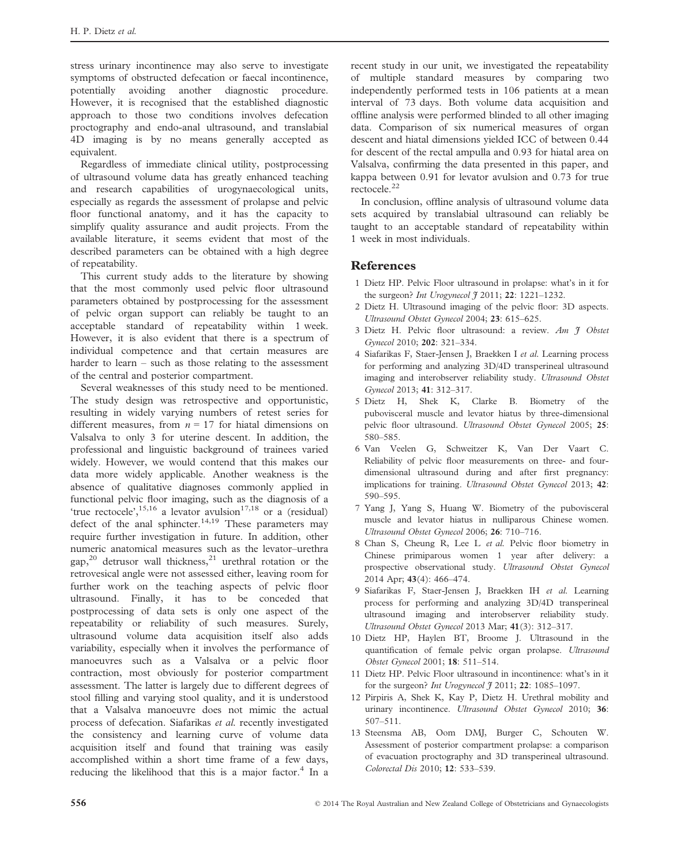stress urinary incontinence may also serve to investigate symptoms of obstructed defecation or faecal incontinence, potentially avoiding another diagnostic procedure. However, it is recognised that the established diagnostic approach to those two conditions involves defecation proctography and endo-anal ultrasound, and translabial 4D imaging is by no means generally accepted as equivalent.

Regardless of immediate clinical utility, postprocessing of ultrasound volume data has greatly enhanced teaching and research capabilities of urogynaecological units, especially as regards the assessment of prolapse and pelvic floor functional anatomy, and it has the capacity to simplify quality assurance and audit projects. From the available literature, it seems evident that most of the described parameters can be obtained with a high degree of repeatability.

This current study adds to the literature by showing that the most commonly used pelvic floor ultrasound parameters obtained by postprocessing for the assessment of pelvic organ support can reliably be taught to an acceptable standard of repeatability within 1 week. However, it is also evident that there is a spectrum of individual competence and that certain measures are harder to learn – such as those relating to the assessment of the central and posterior compartment.

Several weaknesses of this study need to be mentioned. The study design was retrospective and opportunistic, resulting in widely varying numbers of retest series for different measures, from  $n = 17$  for hiatal dimensions on Valsalva to only 3 for uterine descent. In addition, the professional and linguistic background of trainees varied widely. However, we would contend that this makes our data more widely applicable. Another weakness is the absence of qualitative diagnoses commonly applied in functional pelvic floor imaging, such as the diagnosis of a 'true rectocele',  $15,16$  a levator avulsion<sup>17,18</sup> or a (residual) defect of the anal sphincter.<sup>14,19</sup> These parameters may require further investigation in future. In addition, other numeric anatomical measures such as the levator–urethra gap,<sup>20</sup> detrusor wall thickness,<sup>21</sup> urethral rotation or the retrovesical angle were not assessed either, leaving room for further work on the teaching aspects of pelvic floor ultrasound. Finally, it has to be conceded that postprocessing of data sets is only one aspect of the repeatability or reliability of such measures. Surely, ultrasound volume data acquisition itself also adds variability, especially when it involves the performance of manoeuvres such as a Valsalva or a pelvic floor contraction, most obviously for posterior compartment assessment. The latter is largely due to different degrees of stool filling and varying stool quality, and it is understood that a Valsalva manoeuvre does not mimic the actual process of defecation. Siafarikas et al. recently investigated the consistency and learning curve of volume data acquisition itself and found that training was easily accomplished within a short time frame of a few days, reducing the likelihood that this is a major factor.<sup>4</sup> In a recent study in our unit, we investigated the repeatability of multiple standard measures by comparing two independently performed tests in 106 patients at a mean interval of 73 days. Both volume data acquisition and offline analysis were performed blinded to all other imaging data. Comparison of six numerical measures of organ descent and hiatal dimensions yielded ICC of between 0.44 for descent of the rectal ampulla and 0.93 for hiatal area on Valsalva, confirming the data presented in this paper, and kappa between 0.91 for levator avulsion and 0.73 for true rectocele.<sup>22</sup>

In conclusion, offline analysis of ultrasound volume data sets acquired by translabial ultrasound can reliably be taught to an acceptable standard of repeatability within 1 week in most individuals.

#### References

- 1 Dietz HP. Pelvic Floor ultrasound in prolapse: what's in it for the surgeon? *Int Urogynecol*  $\frac{4}{7}$  2011; **22**: 1221–1232.
- 2 Dietz H. Ultrasound imaging of the pelvic floor: 3D aspects. Ultrasound Obstet Gynecol 2004; 23: 615–625.
- 3 Dietz H. Pelvic floor ultrasound: a review.  $Am \t3$  Obstet Gynecol 2010; 202: 321–334.
- 4 Siafarikas F, Staer-Jensen J, Braekken I et al. Learning process for performing and analyzing 3D/4D transperineal ultrasound imaging and interobserver reliability study. Ultrasound Obstet Gynecol 2013; 41: 312–317.
- 5 Dietz H, Shek K, Clarke B. Biometry of the pubovisceral muscle and levator hiatus by three-dimensional pelvic floor ultrasound. Ultrasound Obstet Gynecol 2005; 25: 580–585.
- 6 Van Veelen G, Schweitzer K, Van Der Vaart C. Reliability of pelvic floor measurements on three- and fourdimensional ultrasound during and after first pregnancy: implications for training. Ultrasound Obstet Gynecol 2013; 42: 590–595.
- 7 Yang J, Yang S, Huang W. Biometry of the pubovisceral muscle and levator hiatus in nulliparous Chinese women. Ultrasound Obstet Gynecol 2006; 26: 710–716.
- 8 Chan S, Cheung R, Lee L et al. Pelvic floor biometry in Chinese primiparous women 1 year after delivery: a prospective observational study. Ultrasound Obstet Gynecol 2014 Apr; 43(4): 466–474.
- 9 Siafarikas F, Staer-Jensen J, Braekken IH et al. Learning process for performing and analyzing 3D/4D transperineal ultrasound imaging and interobserver reliability study. Ultrasound Obstet Gynecol 2013 Mar; 41(3): 312–317.
- 10 Dietz HP, Haylen BT, Broome J. Ultrasound in the quantification of female pelvic organ prolapse. Ultrasound Obstet Gynecol 2001; 18: 511–514.
- 11 Dietz HP. Pelvic Floor ultrasound in incontinence: what's in it for the surgeon? Int Urogynecol  $\tilde{\jmath}$  2011; 22: 1085-1097.
- 12 Pirpiris A, Shek K, Kay P, Dietz H. Urethral mobility and urinary incontinence. Ultrasound Obstet Gynecol 2010; 36: 507–511.
- 13 Steensma AB, Oom DMJ, Burger C, Schouten W. Assessment of posterior compartment prolapse: a comparison of evacuation proctography and 3D transperineal ultrasound. Colorectal Dis 2010; 12: 533–539.